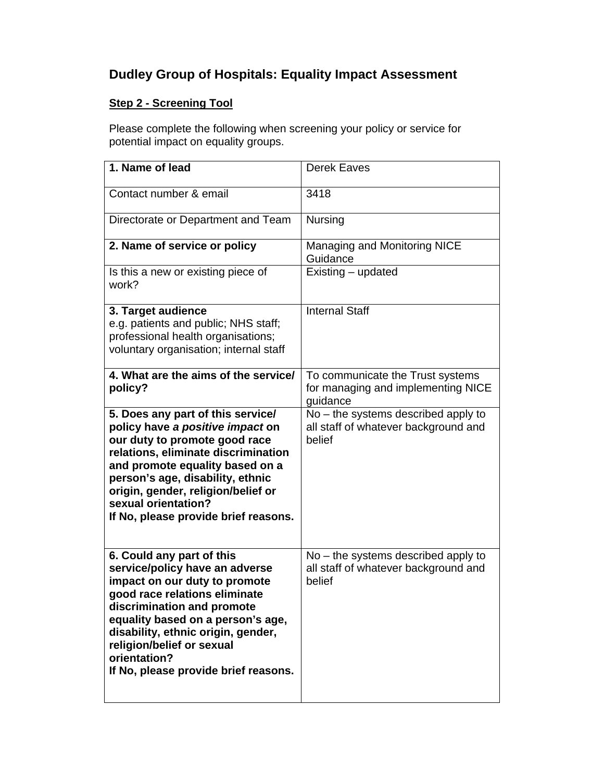## **Dudley Group of Hospitals: Equality Impact Assessment**

## **Step 2 - Screening Tool**

Please complete the following when screening your policy or service for potential impact on equality groups.

| 1. Name of lead                                                                                                                                                                                                                                                                                                             | <b>Derek Eaves</b>                                                                      |
|-----------------------------------------------------------------------------------------------------------------------------------------------------------------------------------------------------------------------------------------------------------------------------------------------------------------------------|-----------------------------------------------------------------------------------------|
| Contact number & email                                                                                                                                                                                                                                                                                                      | 3418                                                                                    |
| Directorate or Department and Team                                                                                                                                                                                                                                                                                          | <b>Nursing</b>                                                                          |
| 2. Name of service or policy                                                                                                                                                                                                                                                                                                | Managing and Monitoring NICE<br>Guidance                                                |
| Is this a new or existing piece of<br>work?                                                                                                                                                                                                                                                                                 | Existing - updated                                                                      |
| 3. Target audience<br>e.g. patients and public; NHS staff;<br>professional health organisations;<br>voluntary organisation; internal staff                                                                                                                                                                                  | <b>Internal Staff</b>                                                                   |
| 4. What are the aims of the service/<br>policy?                                                                                                                                                                                                                                                                             | To communicate the Trust systems<br>for managing and implementing NICE<br>quidance      |
| 5. Does any part of this service/<br>policy have a positive impact on<br>our duty to promote good race<br>relations, eliminate discrimination<br>and promote equality based on a<br>person's age, disability, ethnic<br>origin, gender, religion/belief or<br>sexual orientation?<br>If No, please provide brief reasons.   | No - the systems described apply to<br>all staff of whatever background and<br>belief   |
| 6. Could any part of this<br>service/policy have an adverse<br>impact on our duty to promote<br>good race relations eliminate<br>discrimination and promote<br>equality based on a person's age,<br>disability, ethnic origin, gender,<br>religion/belief or sexual<br>orientation?<br>If No, please provide brief reasons. | $No$ – the systems described apply to<br>all staff of whatever background and<br>belief |